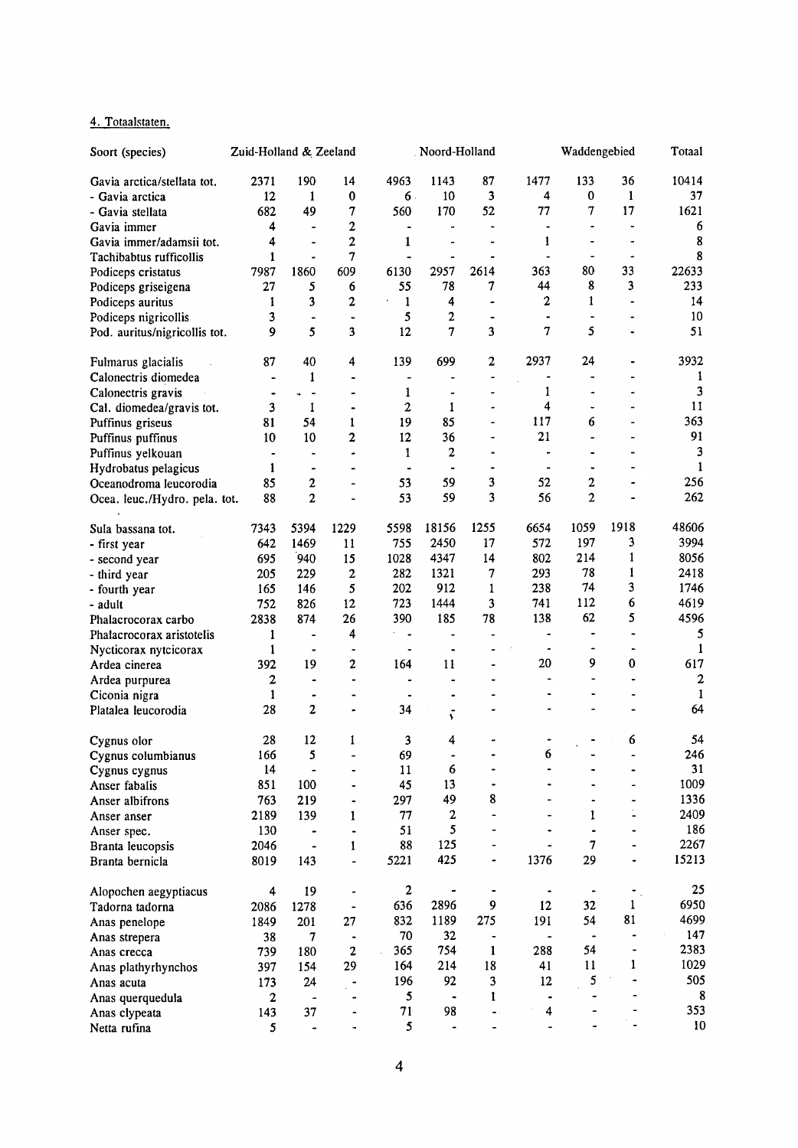## 4. Totaalstaten.

| Soort (species)               | Zuid-Holland & Zeeland |                              |                              |                             | Noord-Holland        |                              | Waddengebied             |                                     |                  | Totaal           |
|-------------------------------|------------------------|------------------------------|------------------------------|-----------------------------|----------------------|------------------------------|--------------------------|-------------------------------------|------------------|------------------|
| Gavia arctica/stellata tot.   | 2371                   | 190                          | 14                           | 4963                        | 1143                 | 87                           | 1477                     | 133                                 | 36               | 10414            |
| - Gavia arctica               | 12                     | 1                            | $\bf{0}$                     | $6 -$                       | 10                   | 3                            | 4                        | 0                                   | $\mathbf{1}$     | 37               |
| - Gavia stellata              | 682                    | 49                           | 7                            | 560                         | 170                  | 52                           | 77                       | 7                                   | 17               | 1621             |
| Gavia immer                   | 4                      | ÷                            | 2                            | $\bullet$                   |                      |                              | $\ddot{\phantom{0}}$     |                                     |                  | 6                |
| Gavia immer/adamsii tot.      | 4                      | $\blacksquare$               | $\overline{\mathbf{c}}$      | 1                           |                      |                              | 1                        | $\ddot{\phantom{0}}$                |                  | 8                |
| Tachibabtus rufficollis       | $\mathbf{1}$           | $\blacksquare$               | 7                            | $\tilde{\phantom{a}}$       |                      |                              |                          |                                     |                  | 8                |
| Podiceps cristatus            | 7987                   | 1860                         | 609                          | 6130                        | 2957                 | 2614                         | 363                      | 80                                  | 33               | 22633            |
| Podiceps griseigena           | 27                     | 5                            | 6                            | 55                          | 78                   | 7                            | 44                       | 8                                   | 3                | 233              |
| Podiceps auritus              | 1                      | 3                            | $\mathbf{2}$                 | $\mathbf{1}$                | 4                    | $\qquad \qquad \blacksquare$ | 2                        | 1                                   |                  | 14               |
| Podiceps nigricollis          | 3                      | $\overline{\phantom{a}}$     | $\blacksquare$               | 5                           | 2                    |                              |                          | $\overline{\phantom{0}}$            |                  | 10               |
| Pod. auritus/nigricollis tot. | 9                      | 5                            | 3                            | 12                          | 7                    | 3                            | 7                        | 5                                   |                  | 51               |
|                               |                        |                              |                              |                             |                      |                              |                          |                                     |                  |                  |
| Fulmarus glacialis            | 87                     | 40                           | 4                            | 139                         | 699                  | 2                            | 2937                     | 24                                  |                  | 3932             |
| Calonectris diomedea          |                        | 1                            |                              |                             |                      | $\overline{a}$               |                          |                                     |                  | 1                |
| Calonectris gravis            |                        | $\overline{\phantom{a}}$     | $\blacksquare$               | 1                           | $\ddot{\phantom{0}}$ |                              | 1                        |                                     |                  | 3                |
| Cal. diomedea/gravis tot.     | 3                      | 1                            | $\blacksquare$               | $\mathbf{2}$                | 1                    | ٠                            | 4                        | ٠                                   | $\bullet\bullet$ | 11               |
| Puffinus griseus              | 81                     | 54                           | 1                            | 19                          | 85                   | -                            | 117                      | 6                                   |                  | 363              |
| Puffinus puffinus             | 10                     | 10                           | 2                            | 12                          | 36                   |                              | 21                       |                                     |                  | 91               |
| Puffinus yelkouan             |                        |                              |                              | 1                           | 2                    | ٠                            |                          |                                     |                  | 3                |
| Hydrobatus pelagicus          | 1                      | $\qquad \qquad \blacksquare$ |                              | $\blacksquare$              |                      |                              | $\overline{\phantom{0}}$ | ۰                                   |                  | $\mathbf{1}$     |
| Oceanodroma leucorodia        | 85                     | 2                            | $\overline{\phantom{0}}$     | 53                          | 59                   | 3                            | 52                       | $\boldsymbol{2}$                    |                  | 256              |
| Ocea. leuc./Hydro. pela. tot. | 88                     | $\mathbf{2}$                 | L.                           | 53                          | 59                   | 3                            | 56                       | $\mathbf{2}$                        |                  | 262              |
| Sula bassana tot.             | 7343                   | 5394                         | 1229                         | 5598                        | 18156                | 1255                         | 6654                     | 1059                                | 1918             | 48606            |
| - first year                  | 642                    | 1469                         | 11                           | 755                         | 2450                 | 17                           | 572                      | 197                                 | 3                | 3994             |
| - second year                 | 695                    | 940                          | 15                           | 1028                        | 4347                 | 14                           | 802                      | 214                                 | 1                | 8056             |
| - third year                  | 205                    | 229                          | $\overline{2}$               | 282                         | 1321                 | $\overline{\mathcal{L}}$     | 293                      | 78                                  | 1                | 2418             |
| - fourth year                 | 165                    | 146                          | 5                            | 202                         | 912                  | $\mathbf{1}$                 | 238                      | 74                                  | 3                | 1746             |
| - adult                       | 752                    | 826                          | 12                           | 723                         | 1444                 | 3                            | 741                      | 112                                 | 6                | 4619             |
| Phalacrocorax carbo           | 2838                   | 874                          | 26                           | 390                         | 185                  | 78                           | 138                      | 62                                  | 5                | 4596             |
| Phalacrocorax aristotelis     | $\mathbf{1}$           | $\blacksquare$               | 4                            | ÷.<br>$\tilde{\phantom{a}}$ |                      | $\qquad \qquad \blacksquare$ | ٠                        | $\overline{\phantom{0}}$            |                  | 5                |
| Nycticorax nytcicorax         | 1                      | $\blacksquare$               | $\overline{\phantom{0}}$     | $\overline{\phantom{a}}$    | $\blacksquare$       |                              | $\ddot{\phantom{0}}$     | $\blacksquare$                      |                  | 1                |
| Ardea cinerea                 | 392                    | 19                           | $\overline{c}$               | 164                         | 11                   | $\ddot{\phantom{1}}$         | 20                       | 9                                   | 0                | 617              |
| Ardea purpurea                | 2                      | ٠                            | $\qquad \qquad \blacksquare$ |                             |                      |                              |                          | $\overline{\phantom{0}}$            |                  | $\boldsymbol{2}$ |
| Ciconia nigra                 | 1                      |                              | $\overline{a}$               |                             | ٠                    |                              |                          |                                     |                  | 1                |
| Platalea leucorodia           | 28                     | $\mathbf 2$                  |                              | 34                          | v                    |                              |                          |                                     |                  | 64               |
|                               |                        |                              |                              |                             |                      |                              |                          |                                     |                  | 54               |
| Cygnus olor                   | 28                     | 12                           | 1                            | 3                           | 4                    |                              |                          |                                     | 6                |                  |
| Cygnus columbianus            | 166                    | 5                            |                              | 69                          | 6                    |                              | 6                        |                                     |                  | 246<br>31        |
| Cygnus cygnus                 | 14                     |                              |                              | 11                          | 13                   |                              |                          |                                     |                  | 1009             |
| Anser fabalis                 | 851                    | 100                          |                              | 45                          | 49                   | ٠<br>8                       |                          |                                     |                  | 1336             |
| Anser albifrons               | 763                    | 219                          | $\blacksquare$               | 297                         |                      | $\overline{a}$               |                          |                                     | t,               | 2409             |
| Anser anser                   | 2189                   | 139                          | 1                            | 77<br>51                    | 2<br>5               | -                            |                          | 1                                   |                  | 186              |
| Anser spec.                   | 130                    |                              | ۰                            |                             | 125                  | ٠                            |                          | $\blacksquare$<br>$\overline{\tau}$ |                  | 2267             |
| Branta leucopsis              | 2046                   | $\blacksquare$               | $\mathbf{1}$                 | 88                          | 425                  |                              |                          | 29                                  |                  | 15213            |
| Branta bernicla               | 8019                   | 143                          | $\overline{\phantom{0}}$     | 5221                        |                      | ٠                            | 1376                     |                                     |                  |                  |
| Alopochen aegyptiacus         | 4                      | 19                           |                              | $\overline{2}$              |                      | $\qquad \qquad \blacksquare$ |                          |                                     |                  | 25               |
| Tadorna tadorna               | 2086                   | 1278                         |                              | 636                         | 2896                 | 9                            | 12                       | 32 <sub>2</sub>                     | 1                | 6950             |
| Anas penelope                 | 1849                   | 201                          | 27                           | 832                         | 1189                 | 275                          | 191                      | 54                                  | 81               | 4699             |
| Anas strepera                 | 38                     | $\overline{7}$               | $\ddot{\phantom{0}}$         | 70                          | 32                   | ٠                            | $\blacksquare$           | $\blacksquare$                      |                  | 147              |
| Anas crecca                   | 739                    | 180                          | $\mathbf{2}$                 | 365                         | 754                  | $\mathbf{1}$                 | 288                      | 54                                  |                  | 2383             |
| Anas plathyrhynchos           | 397                    | 154                          | 29                           | 164                         | 214                  | 18                           | 41                       | 11                                  | $\mathbf{1}$     | 1029             |
| Anas acuta                    | 173                    | 24                           |                              | 196                         | 92                   | 3                            | 12                       | 5                                   |                  | 505              |
| Anas querquedula              | $\mathbf{2}$           | $\blacksquare$               |                              | 5                           | $\ddot{\phantom{1}}$ | 1                            | $\ddot{\phantom{1}}$     |                                     |                  | 8                |
| Anas clypeata                 | 143                    | 37                           |                              | 71                          | 98                   | $\ddot{\phantom{1}}$         | $\overline{\mathbf{4}}$  |                                     |                  | 353              |
| Netta rufina                  | 5                      |                              |                              | 5                           | $\blacksquare$       | ÷                            |                          |                                     |                  | 10               |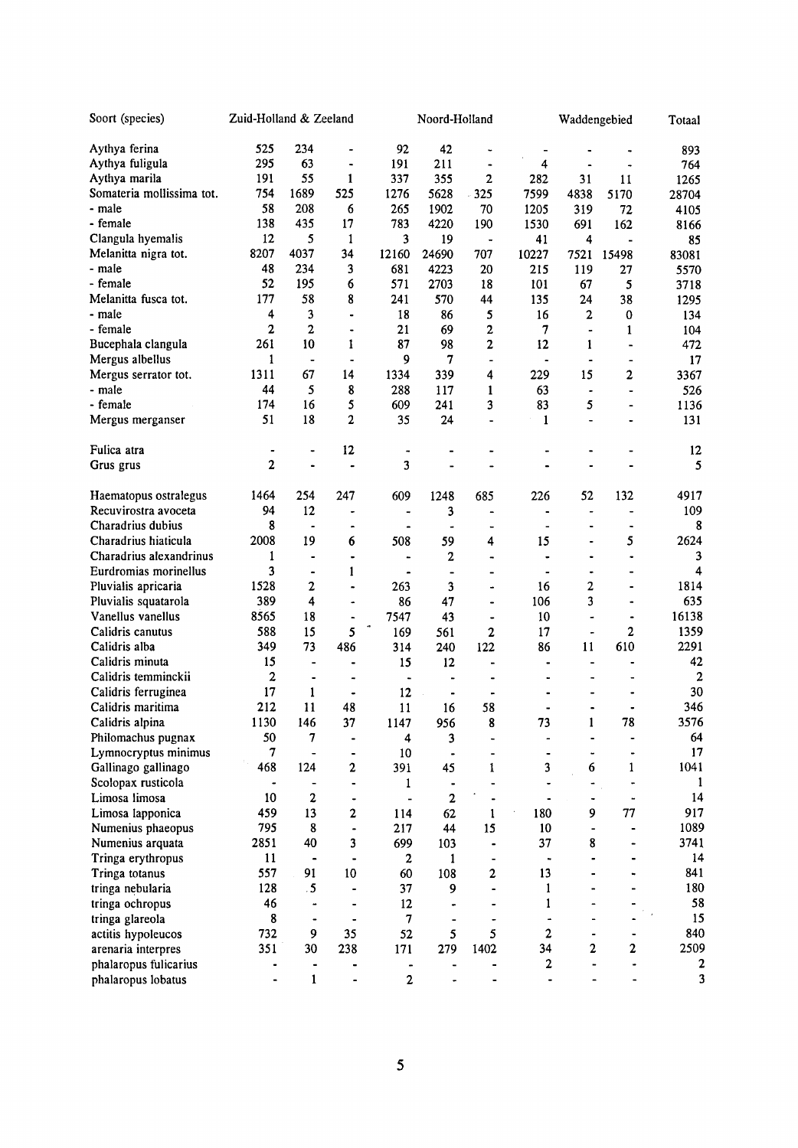| Soort (species)                               | Zuid-Holland & Zeeland |                          |                              |                          | Noord-Holland            |                              | Waddengebied                 |                              |                              | Totaal         |
|-----------------------------------------------|------------------------|--------------------------|------------------------------|--------------------------|--------------------------|------------------------------|------------------------------|------------------------------|------------------------------|----------------|
| Aythya ferina                                 | 525                    | 234                      |                              | 92                       | 42                       |                              |                              |                              |                              | 893            |
| Aythya fuligula                               | 295                    | 63                       | $\ddot{\phantom{1}}$         | 191                      | 211                      | $\ddot{\phantom{0}}$         | $\overline{\mathbf{4}}$      | $\blacksquare$               |                              | 764            |
| Aythya marila                                 | 191                    | 55                       | 1                            | 337                      | 355                      | 2                            | 282                          | 31                           | 11                           | 1265           |
| Somateria mollissima tot.                     | 754                    | 1689                     | 525                          | 1276                     | 5628                     | $-325$                       | 7599                         | 4838                         | 5170                         | 28704          |
| - male                                        | 58                     | 208                      | 6                            | 265                      | 1902                     | 70                           | 1205                         | 319                          | 72                           | 4105           |
| - female                                      | 138                    | 435                      | 17                           | 783                      | 4220                     | 190                          | 1530                         | 691                          | 162                          | 8166           |
| Clangula hyemalis                             | 12                     | 5                        | $\mathbf{1}$                 | 3                        | 19                       | $\ddot{\phantom{1}}$         | 41                           | 4                            | $\blacksquare$               | 85             |
| Melanitta nigra tot.                          | 8207                   | 4037                     | 34                           | 12160                    | 24690                    | 707                          | 10227                        | 7521                         | 15498                        | 83081          |
| - male                                        | 48                     | 234                      | 3                            | 681                      | 4223                     | 20                           | 215                          | 119                          | 27                           | 5570           |
| - female                                      | 52                     | 195                      | 6                            | 571                      | 2703                     | 18                           | 101                          | 67                           | 5                            | 3718           |
| Melanitta fusca tot.                          | 177                    | 58                       | 8                            | 241                      | 570                      | 44                           | 135                          | 24                           | 38                           | 1295           |
| - male                                        | 4                      | 3                        | ۰                            | 18                       | 86                       | 5                            | 16                           | 2                            | $\bf{0}$                     | 134            |
| - female                                      | $\mathbf{2}$           | $\overline{2}$           | $\blacksquare$               | 21                       | 69                       | $\overline{c}$               | 7                            |                              | 1                            | 104            |
| Bucephala clangula                            | 261                    | 10                       | 1                            | 87                       | 98                       | $\mathbf 2$                  | 12                           | 1                            |                              | 472            |
| Mergus albellus                               | $\mathbf{1}$           | $\overline{\phantom{a}}$ | $\hbox{\small -}$            | 9                        | 7                        | $\overline{a}$               | $\bullet$                    |                              |                              | 17             |
| Mergus serrator tot.                          | 1311                   | 67                       | 14                           | 1334                     | 339                      | 4                            | 229                          | 15                           | 2                            | 3367           |
| - male                                        | 44                     | 5                        | 8                            | 288                      | 117                      | 1                            | 63                           |                              | $\blacksquare$               | 526            |
| - female                                      | 174                    | 16                       | 5                            | 609                      | 241                      | 3                            | 83                           | 5                            |                              | 1136           |
| Mergus merganser                              | 51                     | 18                       | 2                            | 35                       | 24                       | $\ddot{\phantom{a}}$         | 1                            | $\overline{\phantom{0}}$     |                              | 131            |
|                                               |                        |                          |                              |                          |                          |                              |                              |                              |                              |                |
| Fulica atra                                   | $\bullet$              |                          | 12                           | $\overline{\phantom{a}}$ |                          |                              |                              |                              |                              | 12             |
| Grus grus                                     | $\mathbf 2$            | $\ddot{\phantom{0}}$     | $\ddot{\phantom{1}}$         | 3                        |                          |                              |                              |                              |                              | 5              |
|                                               | 1464                   | 254                      | 247                          | 609                      | 1248                     | 685                          |                              | 52                           | 132                          | 4917           |
| Haematopus ostralegus<br>Recuvirostra avoceta | 94                     | 12                       |                              |                          |                          |                              | 226                          |                              |                              |                |
|                                               | 8                      |                          | $\qquad \qquad \bullet$      | $\overline{\phantom{a}}$ | 3                        | $\overline{\phantom{a}}$     | $\bullet$                    | $\qquad \qquad \blacksquare$ | $\blacksquare$               | 109<br>8       |
| Charadrius dubius                             | 2008                   | 19                       |                              | $\blacksquare$           | $\blacksquare$           | $\blacksquare$               | $\qquad \qquad \blacksquare$ |                              | ٠<br>5                       | 2624           |
| Charadrius hiaticula                          |                        |                          | 6                            | 508                      | 59                       | 4                            | 15                           | $\overline{\phantom{a}}$     |                              |                |
| Charadrius alexandrinus                       | 1                      |                          | $\blacksquare$               | $\blacksquare$           | 2                        | $\overline{a}$               |                              | ۰                            |                              | 3              |
| Eurdromias morinellus                         | 3                      | $\frac{1}{2}$            | 1                            | $\blacksquare$           | $\overline{\phantom{0}}$ | $\qquad \qquad \blacksquare$ |                              | $\ddot{\phantom{1}}$         |                              | 4              |
| Pluvialis apricaria                           | 1528                   | 2                        | $\ddot{\phantom{1}}$         | 263                      | 3                        | $\ddot{\phantom{1}}$         | 16                           | 2<br>3                       |                              | 1814<br>635    |
| Pluvialis squatarola                          | 389                    | 4                        | ٠                            | 86                       | 47                       | $\overline{\phantom{0}}$     | 106                          |                              |                              |                |
| Vanellus vanellus                             | 8565                   | 18                       | $\qquad \qquad \blacksquare$ | 7547                     | 43                       | $\overline{\phantom{a}}$     | 10                           | $\ddot{\phantom{1}}$         | $\qquad \qquad \blacksquare$ | 16138          |
| Calidris canutus                              | 588                    | 15                       | 5                            | 169                      | 561                      | 2                            | 17                           | $\blacksquare$               | $\mathbf{2}$                 | 1359           |
| Calidris alba                                 | 349                    | 73                       | 486                          | 314                      | 240                      | 122                          | 86                           | 11                           | 610                          | 2291           |
| Calidris minuta                               | 15                     | $\overline{\phantom{a}}$ | $\blacksquare$               | 15                       | 12                       |                              |                              | $\qquad \qquad \blacksquare$ | $\blacksquare$               | 42             |
| Calidris temminckii                           | 2                      | $\blacksquare$           | $\ddot{\phantom{0}}$         | $\overline{\phantom{a}}$ |                          |                              |                              | $\overline{\phantom{a}}$     | $\blacksquare$               | $\overline{a}$ |
| Calidris ferruginea                           | 17                     | 1                        | $\ddot{\phantom{0}}$         | 12                       | -                        |                              |                              |                              | ٠                            | 30             |
| Calidris maritima                             | 212                    | 11                       | 48                           | 11                       | 16                       | 58                           | ۰                            | $\blacksquare$               | ٠                            | 346            |
| Calidris alpina                               | 1130                   | 146                      | 37                           | 1147                     | 956                      | 8                            | 73                           | $\mathbf{1}$                 | 78                           | 3576           |
| Philomachus pugnax                            | 50                     | 7                        |                              | 4                        | 3                        |                              |                              |                              |                              | 64<br>17       |
| Lymnocryptus minimus                          | 7<br>468               | 124                      |                              | 10                       |                          |                              |                              | 6                            |                              | 1041           |
| Gallinago gallinago                           |                        |                          | $\mathbf{2}$                 | 391                      | 45                       | 1                            | 3                            |                              | $\mathbf{1}$                 | 1              |
| Scolopax rusticola<br>Limosa limosa           |                        | $\mathbf{2}$             | $\blacksquare$               | $\mathbf{1}$             |                          |                              |                              |                              | $\blacksquare$               | 14             |
|                                               | 10                     |                          | ٠                            |                          | 2                        |                              |                              |                              |                              |                |
| Limosa lapponica                              | 459                    | 13                       | $\mathbf{2}$                 | 114                      | 62                       | 1                            | 180                          | 9                            | 77                           | 917            |
| Numenius phaeopus                             | 795                    | 8                        | $\blacksquare$               | 217                      | 44                       | 15                           | 10                           | $\blacksquare$               |                              | 1089           |
| Numenius arquata                              | 2851                   | 40                       | 3                            | 699                      | 103                      | $\qquad \qquad \blacksquare$ | 37                           | 8                            |                              | 3741           |
| Tringa erythropus                             | 11                     |                          |                              | $\boldsymbol{2}$         | 1                        |                              |                              |                              |                              | 14             |
| Tringa totanus                                | 557                    | 91                       | 10                           | 60                       | 108                      | 2                            | 13                           |                              |                              | 841            |
| tringa nebularia                              | 128                    | $.5\,$                   |                              | 37                       | 9                        |                              | $\mathbf{1}$                 |                              |                              | 180            |
| tringa ochropus                               | 46                     |                          |                              | 12                       |                          |                              | $\mathbf{1}$                 |                              |                              | 58             |
| tringa glareola                               | 8                      | $\blacksquare$           |                              | $\boldsymbol{7}$         |                          |                              | $\frac{1}{2}$                |                              |                              | 15             |
| actitis hypoleucos                            | 732                    | 9                        | 35                           | 52                       | 5                        | 5                            | 2                            | $\qquad \qquad \blacksquare$ |                              | 840            |
| arenaria interpres                            | 351                    | 30                       | 238                          | 171                      | 279                      | 1402                         | 34                           | $\mathbf{2}$                 | 2                            | 2509           |
| phalaropus fulicarius                         | -                      | ٠                        |                              | $\blacksquare$           |                          |                              | 2                            |                              |                              | 2              |
| phalaropus lobatus                            |                        | $\mathbf{1}$             |                              | $\mathbf{2}$             |                          |                              | $\overline{\phantom{0}}$     |                              |                              | 3              |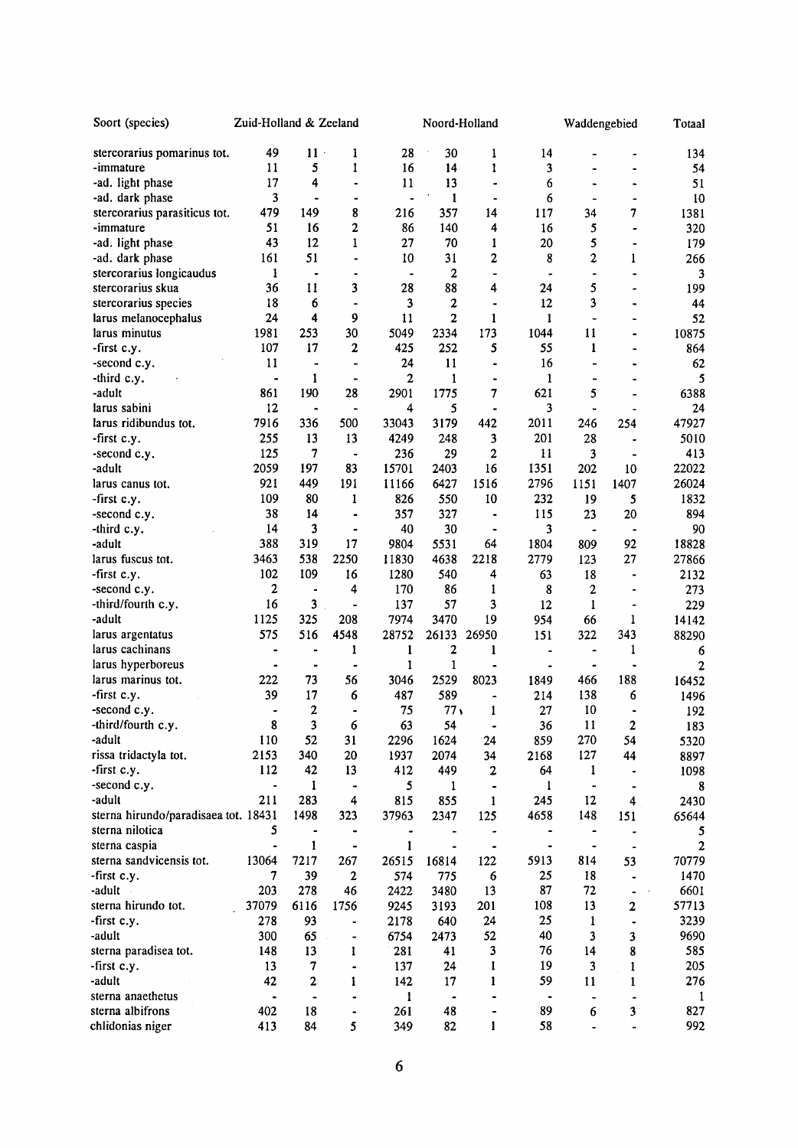| Soort (species)                      | Zuid-Holland & Zeeland       |                         |                              |                         | Noord-Holland    |                          | Waddengebied             |                              | Totaal                  |                |
|--------------------------------------|------------------------------|-------------------------|------------------------------|-------------------------|------------------|--------------------------|--------------------------|------------------------------|-------------------------|----------------|
| stercorarius pomarinus tot.          | 49                           | $11 -$                  | 1                            | 28                      | 30               | $\mathbf{1}$             | 14                       |                              |                         | 134            |
| -immature                            | 11                           | 5                       | 1                            | 16                      | 14               | 1                        | 3                        |                              |                         | 54             |
| -ad. light phase                     | 17                           | 4                       | $\tilde{\phantom{a}}$        | 11                      | 13               | $\blacksquare$           | 6                        |                              | ÷                       | 51             |
| -ad. dark phase                      | 3                            | $\blacksquare$          | $\blacksquare$               |                         | 1                | ۰                        | 6                        | $\overline{\phantom{0}}$     |                         | 10             |
| stercorarius parasiticus tot.        | 479                          | 149                     | 8                            | 216                     | 357              | 14                       | 117                      | 34                           | 7                       | 1381           |
| -immature                            | 51                           | 16                      | $\mathbf 2$                  | 86                      | 140              | 4                        | 16                       | 5                            | $\bullet$               | 320            |
| -ad. light phase                     | 43                           | 12                      | 1                            | 27                      | 70               | 1                        | 20                       | 5                            |                         | 179            |
| -ad. dark phase                      | 161                          | 51                      | ٠                            | 10                      | 31               | 2                        | 8                        | 2                            | 1                       | 266            |
| stercorarius longicaudus             | $\mathbf{1}$                 | $\blacksquare$          |                              |                         | $\boldsymbol{2}$ | $\overline{a}$           |                          | ۰                            |                         | 3              |
| stercorarius skua                    | 36                           | 11                      | 3                            | 28                      | 88               | 4                        | 24                       | 5                            | $\bullet$               | 199            |
| stercorarius species                 | 18                           | 6                       | ۰                            | 3                       | 2                | $\ddot{\phantom{0}}$     | 12                       | 3                            |                         | 44             |
| larus melanocephalus                 | 24                           | 4                       | 9                            | 11                      | $\overline{c}$   | 1                        | $\mathbf{1}$             | $\overline{\phantom{0}}$     |                         | 52             |
| larus minutus                        | 1981                         | 253                     | 30                           | 5049                    | 2334             | 173                      | 1044                     | 11                           |                         | 10875          |
| -first c.y.                          | 107                          | 17                      | 2                            | 425                     | 252              | 5                        | 55                       | $\mathbf{1}$                 |                         | 864            |
| -second c.y.                         | 11                           | $\overline{a}$          | $\overline{\phantom{a}}$     | 24                      | 11               | $\blacksquare$           | 16                       | -                            |                         | 62             |
| -third c.y.                          | $\blacksquare$               | 1                       | $\bullet$                    | 2                       | 1                | $\blacksquare$           | 1                        | -                            |                         | 5              |
| -adult                               | 861                          | 190                     | 28                           | 2901                    | 1775             | 7                        | 621                      | 5                            |                         | 6388           |
| larus sabini                         | 12                           |                         | $\qquad \qquad \blacksquare$ | 4                       | 5                | $\overline{a}$           | 3                        |                              |                         | 24             |
| larus ridibundus tot.                | 7916                         | 336                     | 500                          | 33043                   | 3179             | 442                      | 2011                     | 246                          | 254                     | 47927          |
| -first c.y.                          | 255                          | 13                      | 13                           | 4249                    | 248              | 3                        | 201                      | 28                           |                         | 5010           |
| -second c.y.                         | 125                          | 7                       | $\hbox{\small -}$            | 236                     | 29               | $\overline{c}$           | 11                       | 3                            |                         | 413            |
| -adult                               | 2059                         | 197                     | 83                           | 15701                   | 2403             | 16                       | 1351                     | 202                          | 10                      | 22022          |
| larus canus tot.                     | 921                          | 449                     | 191                          | 11166                   | 6427             | 1516                     | 2796                     | 1151                         | 1407                    | 26024          |
| -first c.y.                          | 109                          | 80                      | 1                            | 826                     | 550              | 10                       | 232                      | 19                           | 5                       | 1832           |
| -second c.y.                         | 38                           | 14                      | $\blacksquare$               | 357                     | 327              | $\blacksquare$           | 115                      | 23                           | 20                      | 894            |
| -third c.y.                          | 14                           | 3                       | $\blacksquare$               | 40                      | 30               | $\overline{\phantom{a}}$ | 3                        | -                            |                         | 90             |
| -adult                               | 388                          | 319                     | 17                           | 9804                    | 5531             | 64                       | 1804                     | 809                          | 92                      | 18828          |
| larus fuscus tot.                    | 3463                         | 538                     | 2250                         | 11830                   | 4638             | 2218                     | 2779                     | 123                          | 27                      | 27866          |
| -first c.y.                          | 102                          | 109                     | 16                           | 1280                    | 540              | 4                        | 63                       | 18                           |                         | 2132           |
| -second c.y.                         | 2                            | $\ddot{\phantom{0}}$    | 4                            | 170                     | 86               | 1                        | 8                        | $\boldsymbol{2}$             |                         | 273            |
| -third/fourth c.y.                   | 16                           | 3                       | ÷,                           | 137                     | 57               | 3                        | 12                       | $\mathbf{1}$                 |                         | 229            |
| -adult                               | 1125                         | 325                     | 208                          | 7974                    | 3470             | 19                       | 954                      | 66                           | 1                       | 14142          |
| larus argentatus                     | 575                          | 516                     | 4548                         | 28752                   | 26133            | 26950                    | 151                      | 322                          | 343                     | 88290          |
| larus cachinans                      |                              | $\blacksquare$          | 1                            | $\mathbf{1}$            | 2                | 1                        |                          | -                            | 1                       | 6              |
| larus hyperboreus                    |                              | $\blacksquare$          | $\ddot{\phantom{1}}$         | $\mathbf{1}$            | 1                |                          |                          | $\blacksquare$               |                         | $\overline{2}$ |
| larus marinus tot.                   | 222                          | 73                      | 56                           | 3046                    | 2529             | 8023                     | 1849                     | 466                          | 188                     | 16452          |
| -first c.y.                          | 39                           | 17                      | 6                            | 487                     | 589              | $\ddot{\phantom{a}}$     | 214                      | 138                          | 6                       | 1496           |
| -second c.y.                         | $\qquad \qquad \blacksquare$ | $\mathbf{2}$            | $\blacksquare$               | 75                      | 77 <sub>1</sub>  | 1                        | 27                       | 10                           | ۰                       | 192            |
| -third/fourth c.y.                   | 8                            | 3                       | 6                            | 63                      | 54               | $\blacksquare$           | 36                       | 11                           | $\boldsymbol{2}$        | 183            |
| -adult                               | 110                          | 52                      | 31                           | 2296                    | 1624             | 24                       | 859                      | 270                          | 54                      | 5320           |
| rissa tridactyla tot.                | 2153                         | 340                     | 20                           | 1937                    | 2074             | 34                       | 2168                     | 127                          | 44                      | 8897           |
| -first c.y.                          | 112                          | 42                      | 13                           | 412                     | 449              | $\boldsymbol{2}$         | 64                       | 1                            | $\qquad \qquad \bullet$ | 1098           |
| -second c.y.                         | $\frac{1}{2}$                | 1                       | $\qquad \qquad \blacksquare$ | 5                       | 1                | $\blacksquare$           | 1                        | $\qquad \qquad \blacksquare$ |                         | 8              |
| -adult                               | 211                          | 283                     | 4                            | 815                     | 855              | $\mathbf{1}$             | 245                      | 12                           | 4                       | 2430           |
| sterna hirundo/paradisaea tot. 18431 |                              | 1498                    | 323                          | 37963                   | 2347             | 125                      | 4658                     | 148                          | 151                     | 65644          |
| sterna nilotica                      | 5                            |                         |                              | $\qquad \qquad \bullet$ |                  | $\blacksquare$           | $\blacksquare$           | -                            |                         | 5              |
| sterna caspia                        | $\qquad \qquad \blacksquare$ | 1                       | $\blacksquare$               | 1                       | ۰                | $\blacksquare$           | $\bullet$                | $\qquad \qquad \blacksquare$ |                         | 2              |
| sterna sandvicensis tot.             | 13064                        | 7217                    | 267                          | 26515                   | 16814            | 122                      | 5913                     | 814                          | 53                      | 70779          |
| -first c.y.                          | 7                            | 39                      | $\mathbf{2}$                 | 574                     | 775              | 6                        | 25                       | 18                           |                         | 1470           |
| -adult                               | 203                          | 278                     | 46                           | 2422                    | 3480             | 13                       | 87                       | 72                           |                         | 6601           |
| sterna hirundo tot.                  | 37079                        | 6116                    | 1756                         | 9245                    | 3193             | 201                      | 108                      | 13                           | $\mathbf{2}$            | 57713          |
| -first c.y.                          | 278                          | 93                      | $\qquad \qquad \bullet$      | 2178                    | 640              | 24                       | 25                       | 1                            |                         | 3239           |
| -adult                               | 300                          | 65                      | $\overline{\phantom{a}}$     | 6754                    | 2473             | 52                       | 40                       | 3                            | 3                       | 9690           |
| sterna paradisea tot.                | 148                          | 13                      | 1                            | 281                     | 41               | 3                        | 76                       | 14                           | 8                       | 585            |
| -first c.y.                          | 13                           | 7                       | $\qquad \qquad \blacksquare$ | 137                     | 24               | 1                        | 19                       | 3                            | 1                       | 205            |
| -adult                               | 42                           | $\overline{\mathbf{c}}$ | 1                            | 142                     | 17               | 1                        | 59                       | 11                           | 1                       | 276            |
| sterna anaethetus                    | $\qquad \qquad \blacksquare$ | $\blacksquare$          | ٠                            | 1                       | $\blacksquare$   |                          | $\overline{\phantom{a}}$ |                              |                         | $\mathbf{1}$   |
| sterna albifrons                     | 402                          | 18                      | $\blacksquare$               | 261                     | 48               | $\ddot{\phantom{0}}$     | 89                       | 6                            | 3                       | 827            |
| chlidonias niger                     | 413                          | 84                      | 5                            | 349                     | 82               | $\mathbf{1}$             | 58                       | ٠                            |                         | 992            |